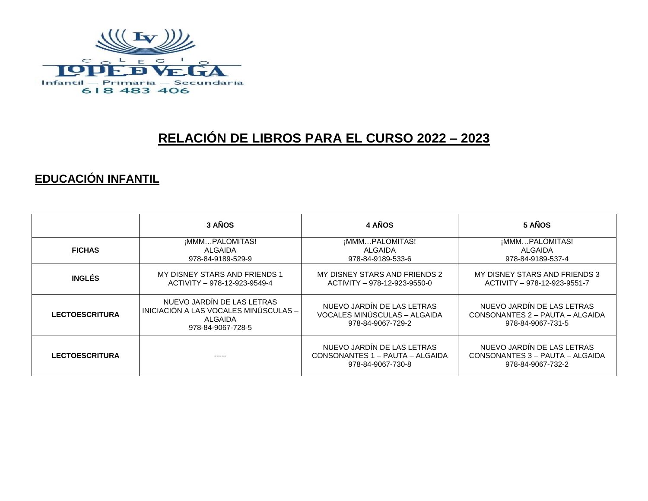

# **RELACIÓN DE LIBROS PARA EL CURSO 2022 – 2023**

## **EDUCACIÓN INFANTIL**

|                       | 3 AÑOS                                                                                              | <b>4 AÑOS</b>                                                                      | 5 AÑOS                                                                             |
|-----------------------|-----------------------------------------------------------------------------------------------------|------------------------------------------------------------------------------------|------------------------------------------------------------------------------------|
| <b>FICHAS</b>         | ¡MMMPALOMITAS!<br>ALGAIDA<br>978-84-9189-529-9                                                      | ¡MMMPALOMITAS!<br><b>ALGAIDA</b><br>978-84-9189-533-6                              | ¡MMMPALOMITAS!<br><b>ALGAIDA</b><br>978-84-9189-537-4                              |
| <b>INGLÉS</b>         | MY DISNEY STARS AND FRIENDS 1<br>ACTIVITY - 978-12-923-9549-4                                       | MY DISNEY STARS AND FRIENDS 2<br>ACTIVITY - 978-12-923-9550-0                      | MY DISNEY STARS AND FRIENDS 3<br>ACTIVITY - 978-12-923-9551-7                      |
| <b>LECTOESCRITURA</b> | NUEVO JARDÍN DE LAS LETRAS<br>INICIACIÓN A LAS VOCALES MINÚSCULAS -<br>ALGAIDA<br>978-84-9067-728-5 | NUEVO JARDÍN DE LAS LETRAS<br>VOCALES MINÚSCULAS - ALGAIDA<br>978-84-9067-729-2    | NUEVO JARDÍN DE LAS LETRAS<br>CONSONANTES 2 - PAUTA - ALGAIDA<br>978-84-9067-731-5 |
| <b>LECTOESCRITURA</b> | -----                                                                                               | NUEVO JARDÍN DE LAS LETRAS<br>CONSONANTES 1 - PAUTA - ALGAIDA<br>978-84-9067-730-8 | NUEVO JARDÍN DE LAS LETRAS<br>CONSONANTES 3 - PAUTA - ALGAIDA<br>978-84-9067-732-2 |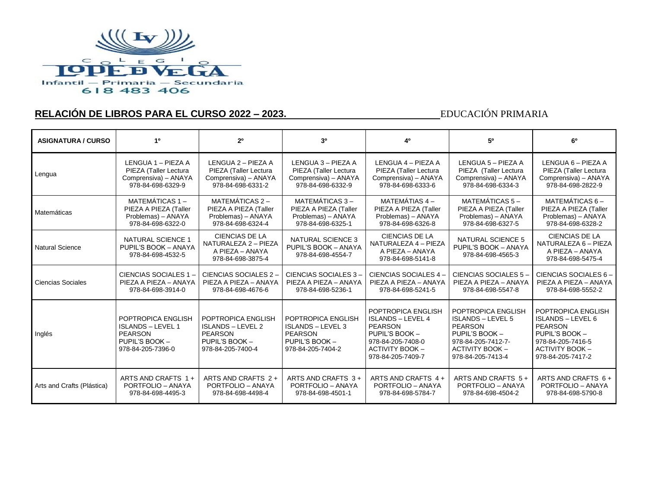

## **RELACIÓN DE LIBROS PARA EL CURSO 2022 – 2023.** EDUCACIÓN PRIMARIA

| <b>ASIGNATURA / CURSO</b>  | 10                                                                                                      | 2 <sup>0</sup>                                                                                          | 30                                                                                               | 40                                                                                                                                                     | 50                                                                                                                                                      | 60                                                                                                                                              |
|----------------------------|---------------------------------------------------------------------------------------------------------|---------------------------------------------------------------------------------------------------------|--------------------------------------------------------------------------------------------------|--------------------------------------------------------------------------------------------------------------------------------------------------------|---------------------------------------------------------------------------------------------------------------------------------------------------------|-------------------------------------------------------------------------------------------------------------------------------------------------|
| Lengua                     | LENGUA 1 - PIEZA A                                                                                      | LENGUA 2 - PIEZA A                                                                                      | LENGUA 3 - PIEZA A                                                                               | LENGUA 4 - PIEZA A                                                                                                                                     | LENGUA 5 - PIEZA A                                                                                                                                      | LENGUA 6 - PIEZA A                                                                                                                              |
|                            | PIEZA (Taller Lectura                                                                                   | PIEZA (Taller Lectura                                                                                   | PIEZA (Taller Lectura                                                                            | PIEZA (Taller Lectura                                                                                                                                  | PIEZA (Taller Lectura                                                                                                                                   | PIEZA (Taller Lectura                                                                                                                           |
|                            | Comprensiva) - ANAYA                                                                                    | Comprensiva) - ANAYA                                                                                    | Comprensiva) - ANAYA                                                                             | Comprensiva) - ANAYA                                                                                                                                   | Comprensiva) - ANAYA                                                                                                                                    | Comprensiva) - ANAYA                                                                                                                            |
|                            | 978-84-698-6329-9                                                                                       | 978-84-698-6331-2                                                                                       | 978-84-698-6332-9                                                                                | 978-84-698-6333-6                                                                                                                                      | 978-84-698-6334-3                                                                                                                                       | 978-84-698-2822-9                                                                                                                               |
| Matemáticas                | MATEMÁTICAS 1-                                                                                          | MATEMÁTICAS 2-                                                                                          | MATEMÁTICAS 3-                                                                                   | MATEMÁTIAS 4-                                                                                                                                          | MATEMÁTICAS 5-                                                                                                                                          | MATEMÁTICAS 6-                                                                                                                                  |
|                            | PIEZA A PIEZA (Taller                                                                                   | PIEZA A PIEZA (Taller                                                                                   | PIEZA A PIEZA (Taller                                                                            | PIEZA A PIEZA (Taller                                                                                                                                  | PIEZA A PIEZA (Taller                                                                                                                                   | PIEZA A PIEZA (Taller                                                                                                                           |
|                            | Problemas) - ANAYA                                                                                      | Problemas) - ANAYA                                                                                      | Problemas) - ANAYA                                                                               | Problemas) - ANAYA                                                                                                                                     | Problemas) - ANAYA                                                                                                                                      | Problemas) - ANAYA                                                                                                                              |
|                            | 978-84-698-6322-0                                                                                       | 978-84-698-6324-4                                                                                       | 978-84-698-6325-1                                                                                | 978-84-698-6326-8                                                                                                                                      | 978-84-698-6327-5                                                                                                                                       | 978-84-698-6328-2                                                                                                                               |
| <b>Natural Science</b>     | <b>NATURAL SCIENCE 1</b><br>PUPIL'S BOOK - ANAYA<br>978-84-698-4532-5                                   | <b>CIENCIAS DE LA</b><br>NATURALEZA 2 - PIEZA<br>A PIEZA - ANAYA<br>978-84-698-3875-4                   | <b>NATURAL SCIENCE 3</b><br>PUPIL'S BOOK - ANAYA<br>978-84-698-4554-7                            | <b>CIENCIAS DE LA</b><br>NATURALEZA 4 - PIEZA<br>A PIEZA - ANAYA<br>978-84-698-5141-8                                                                  | <b>NATURAL SCIENCE 5</b><br>PUPIL'S BOOK - ANAYA<br>978-84-698-4565-3                                                                                   | <b>CIENCIAS DE LA</b><br>NATURALEZA 6 - PIEZA<br>A PIEZA - ANAYA<br>978-84-698-5475-4                                                           |
| <b>Ciencias Sociales</b>   | CIENCIAS SOCIALES 1-                                                                                    | CIENCIAS SOCIALES 2-                                                                                    | CIENCIAS SOCIALES 3-                                                                             | CIENCIAS SOCIALES 4-                                                                                                                                   | CIENCIAS SOCIALES 5-                                                                                                                                    | CIENCIAS SOCIALES 6-                                                                                                                            |
|                            | PIEZA A PIEZA - ANAYA                                                                                   | PIEZA A PIEZA - ANAYA                                                                                   | PIEZA A PIEZA - ANAYA                                                                            | PIEZA A PIEZA - ANAYA                                                                                                                                  | PIEZA A PIEZA - ANAYA                                                                                                                                   | PIEZA A PIEZA - ANAYA                                                                                                                           |
|                            | 978-84-698-3914-0                                                                                       | 978-84-698-4676-6                                                                                       | 978-84-698-5236-1                                                                                | 978-84-698-5241-5                                                                                                                                      | 978-84-698-5547-8                                                                                                                                       | 978-84-698-5552-2                                                                                                                               |
| Inglés                     | POPTROPICA ENGLISH<br><b>ISLANDS - LEVEL 1</b><br><b>PEARSON</b><br>PUPIL'S BOOK -<br>978-84-205-7396-0 | POPTROPICA ENGLISH<br><b>ISLANDS - LEVEL 2</b><br><b>PEARSON</b><br>PUPIL'S BOOK -<br>978-84-205-7400-4 | POPTROPICA ENGLISH<br><b>ISLANDS - LEVEL 3</b><br>PEARSON<br>PUPIL'S BOOK -<br>978-84-205-7404-2 | POPTROPICA ENGLISH<br><b>ISLANDS - LEVEL 4</b><br><b>PEARSON</b><br>PUPIL'S BOOK -<br>978-84-205-7408-0<br><b>ACTIVITY BOOK -</b><br>978-84-205-7409-7 | POPTROPICA ENGLISH<br><b>ISLANDS - LEVEL 5</b><br><b>PEARSON</b><br>PUPIL'S BOOK -<br>978-84-205-7412-7-<br><b>ACTIVITY BOOK -</b><br>978-84-205-7413-4 | POPTROPICA ENGLISH<br><b>ISLANDS - LEVEL 6</b><br>PEARSON<br>PUPIL'S BOOK -<br>978-84-205-7416-5<br><b>ACTIVITY BOOK -</b><br>978-84-205-7417-2 |
| Arts and Crafts (Plástica) | ARTS AND CRAFTS 1 +                                                                                     | ARTS AND CRAFTS 2 +                                                                                     | ARTS AND CRAFTS 3+                                                                               | ARTS AND CRAFTS 4 +                                                                                                                                    | ARTS AND CRAFTS 5 +                                                                                                                                     | ARTS AND CRAFTS 6+                                                                                                                              |
|                            | PORTFOLIO - ANAYA                                                                                       | PORTFOLIO - ANAYA                                                                                       | PORTFOLIO - ANAYA                                                                                | PORTFOLIO - ANAYA                                                                                                                                      | PORTFOLIO - ANAYA                                                                                                                                       | PORTFOLIO - ANAYA                                                                                                                               |
|                            | 978-84-698-4495-3                                                                                       | 978-84-698-4498-4                                                                                       | 978-84-698-4501-1                                                                                | 978-84-698-5784-7                                                                                                                                      | 978-84-698-4504-2                                                                                                                                       | 978-84-698-5790-8                                                                                                                               |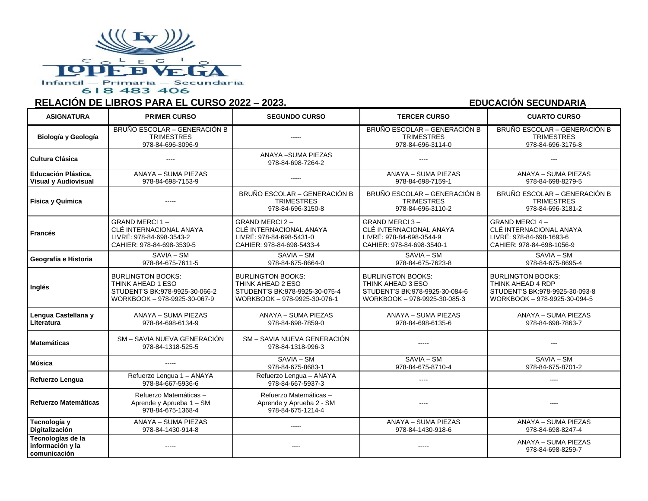

### **RELACIÓN DE LIBROS PARA EL CURSO 2022 – 2023. EDUCACIÓN SECUNDARIA**

| <b>ASIGNATURA</b>                                     | <b>PRIMER CURSO</b>                                                                                             | <b>SEGUNDO CURSO</b>                                                                                             | <b>TERCER CURSO</b>                                                                                             | <b>CUARTO CURSO</b>                                                                                             |
|-------------------------------------------------------|-----------------------------------------------------------------------------------------------------------------|------------------------------------------------------------------------------------------------------------------|-----------------------------------------------------------------------------------------------------------------|-----------------------------------------------------------------------------------------------------------------|
| Biología y Geología                                   | BRUÑO ESCOLAR - GENERACIÓN B<br><b>TRIMESTRES</b><br>978-84-696-3096-9                                          |                                                                                                                  | BRUÑO ESCOLAR - GENERACIÓN B<br><b>TRIMESTRES</b><br>978-84-696-3114-0                                          | BRUÑO ESCOLAR - GENERACIÓN B<br><b>TRIMESTRES</b><br>978-84-696-3176-8                                          |
| Cultura Clásica                                       |                                                                                                                 | <b>ANAYA -SUMA PIEZAS</b><br>978-84-698-7264-2                                                                   |                                                                                                                 | $- - -$                                                                                                         |
| Educación Plástica,<br>Visual y Audiovisual           | <b>ANAYA - SUMA PIEZAS</b><br>978-84-698-7153-9                                                                 |                                                                                                                  | <b>ANAYA - SUMA PIEZAS</b><br>978-84-698-7159-1                                                                 | <b>ANAYA - SUMA PIEZAS</b><br>978-84-698-8279-5                                                                 |
| Física y Química                                      |                                                                                                                 | BRUÑO ESCOLAR - GENERACIÓN B<br><b>TRIMESTRES</b><br>978-84-696-3150-8                                           | BRUÑO ESCOLAR - GENERACIÓN B<br><b>TRIMESTRES</b><br>978-84-696-3110-2                                          | BRUÑO ESCOLAR - GENERACIÓN B<br><b>TRIMESTRES</b><br>978-84-696-3181-2                                          |
| Francés                                               | GRAND MERCI 1-<br>CLÉ INTERNACIONAL ANAYA<br>LIVRÉ: 978-84-698-3543-2<br>CAHIER: 978-84-698-3539-5              | GRAND MERCI 2-<br>CLÉ INTERNACIONAL ANAYA<br>LIVRÉ: 978-84-698-5431-0<br>CAHIER: 978-84-698-5433-4               | GRAND MERCI 3-<br>CLÉ INTERNACIONAL ANAYA<br>LIVRÉ: 978-84-698-3544-9<br>CAHIER: 978-84-698-3540-1              | GRAND MERCI 4-<br>CLÉ INTERNACIONAL ANAYA<br>LIVRÉ: 978-84-698-1693-6<br>CAHIER: 978-84-698-1056-9              |
| Geografía e Historia                                  | SAVIA - SM<br>978-84-675-7611-5                                                                                 | SAVIA - SM<br>978-84-675-8664-0                                                                                  | SAVIA - SM<br>978-84-675-7623-8                                                                                 | SAVIA - SM<br>978-84-675-8695-4                                                                                 |
| Inglés                                                | <b>BURLINGTON BOOKS:</b><br>THINK AHEAD 1 ESO<br>STUDENT'S BK:978-9925-30-066-2<br>WORKBOOK - 978-9925-30-067-9 | <b>BURLINGTON BOOKS:</b><br>THINK AHEAD 2 ESO<br>STUDENT'S BK: 978-9925-30-075-4<br>WORKBOOK - 978-9925-30-076-1 | <b>BURLINGTON BOOKS:</b><br>THINK AHEAD 3 ESO<br>STUDENT'S BK:978-9925-30-084-6<br>WORKBOOK - 978-9925-30-085-3 | <b>BURLINGTON BOOKS:</b><br>THINK AHEAD 4 RDP<br>STUDENT'S BK:978-9925-30-093-8<br>WORKBOOK - 978-9925-30-094-5 |
| Lengua Castellana y<br>Literatura                     | ANAYA - SUMA PIEZAS<br>978-84-698-6134-9                                                                        | ANAYA - SUMA PIEZAS<br>978-84-698-7859-0                                                                         | ANAYA - SUMA PIEZAS<br>978-84-698-6135-6                                                                        | ANAYA - SUMA PIEZAS<br>978-84-698-7863-7                                                                        |
| <b>Matemáticas</b>                                    | SM – SAVIA NUEVA GENERACIÓN<br>978-84-1318-525-5                                                                | SM – SAVIA NUEVA GENERACIÓN<br>978-84-1318-996-3                                                                 |                                                                                                                 |                                                                                                                 |
| Música                                                | $---$                                                                                                           | SAVIA - SM<br>978-84-675-8683-1                                                                                  | SAVIA - SM<br>978-84-675-8710-4                                                                                 | SAVIA - SM<br>978-84-675-8701-2                                                                                 |
| Refuerzo Lengua                                       | Refuerzo Lengua 1 - ANAYA<br>978-84-667-5936-6                                                                  | Refuerzo Lengua - ANAYA<br>978-84-667-5937-3                                                                     | ----                                                                                                            | $\cdots$                                                                                                        |
| Refuerzo Matemáticas                                  | Refuerzo Matemáticas -<br>Aprende y Aprueba 1 - SM<br>978-84-675-1368-4                                         | Refuerzo Matemáticas -<br>Aprende y Aprueba 2 - SM<br>978-84-675-1214-4                                          |                                                                                                                 | ----                                                                                                            |
| Tecnología y<br>Digitalización                        | ANAYA - SUMA PIEZAS<br>978-84-1430-914-8                                                                        |                                                                                                                  | ANAYA - SUMA PIEZAS<br>978-84-1430-918-6                                                                        | ANAYA - SUMA PIEZAS<br>978-84-698-8247-4                                                                        |
| Tecnologías de la<br>información y la<br>comunicación |                                                                                                                 |                                                                                                                  | -----                                                                                                           | ANAYA - SUMA PIEZAS<br>978-84-698-8259-7                                                                        |